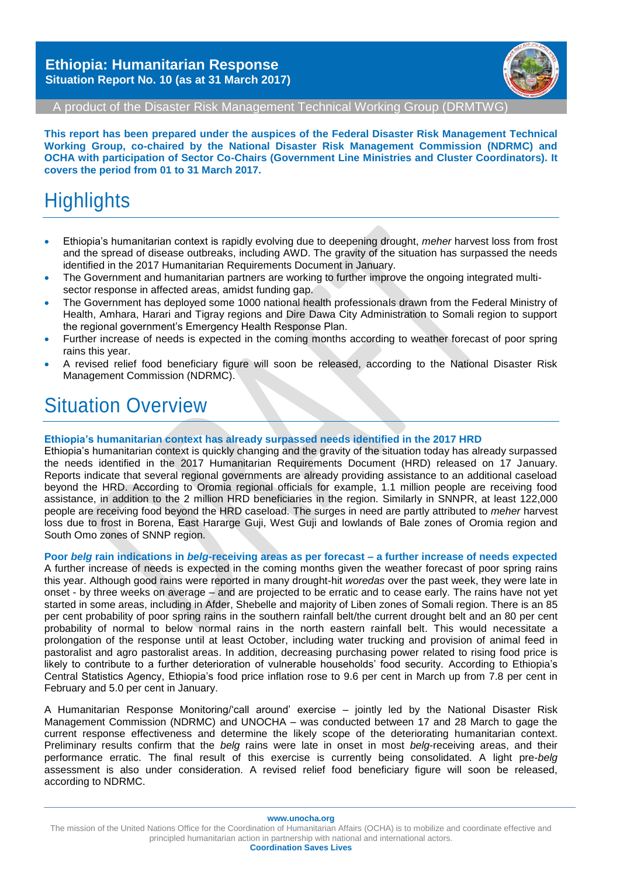

A product of the Disaster Risk Management Technical Working Group (DRMTWG)

**This report has been prepared under the auspices of the Federal Disaster Risk Management Technical Working Group, co-chaired by the National Disaster Risk Management Commission (NDRMC) and OCHA with participation of Sector Co-Chairs (Government Line Ministries and Cluster Coordinators). It covers the period from 01 to 31 March 2017.**

# **Highlights**

- Ethiopia's humanitarian context is rapidly evolving due to deepening drought, *meher* harvest loss from frost and the spread of disease outbreaks, including AWD. The gravity of the situation has surpassed the needs identified in the 2017 Humanitarian Requirements Document in January.
- The Government and humanitarian partners are working to further improve the ongoing integrated multisector response in affected areas, amidst funding gap.
- The Government has deployed some 1000 national health professionals drawn from the Federal Ministry of Health, Amhara, Harari and Tigray regions and Dire Dawa City Administration to Somali region to support the regional government's Emergency Health Response Plan.
- Further increase of needs is expected in the coming months according to weather forecast of poor spring rains this year.
- A revised relief food beneficiary figure will soon be released, according to the National Disaster Risk Management Commission (NDRMC).

### Situation Overview

#### **Ethiopia's humanitarian context has already surpassed needs identified in the 2017 HRD**

Ethiopia's humanitarian context is quickly changing and the gravity of the situation today has already surpassed the needs identified in the 2017 Humanitarian Requirements Document (HRD) released on 17 January. Reports indicate that several regional governments are already providing assistance to an additional caseload beyond the HRD. According to Oromia regional officials for example, 1.1 million people are receiving food assistance, in addition to the 2 million HRD beneficiaries in the region. Similarly in SNNPR, at least 122,000 people are receiving food beyond the HRD caseload. The surges in need are partly attributed to *meher* harvest loss due to frost in Borena, East Hararge Guji, West Guji and lowlands of Bale zones of Oromia region and South Omo zones of SNNP region.

#### **Poor** *belg* **rain indications in** *belg***-receiving areas as per forecast – a further increase of needs expected**

A further increase of needs is expected in the coming months given the weather forecast of poor spring rains this year. Although good rains were reported in many drought-hit *woredas* over the past week, they were late in onset - by three weeks on average – and are projected to be erratic and to cease early. The rains have not yet started in some areas, including in Afder, Shebelle and majority of Liben zones of Somali region. There is an 85 per cent probability of poor spring rains in the southern rainfall belt/the current drought belt and an 80 per cent probability of normal to below normal rains in the north eastern rainfall belt. This would necessitate a prolongation of the response until at least October, including water trucking and provision of animal feed in pastoralist and agro pastoralist areas. In addition, decreasing purchasing power related to rising food price is likely to contribute to a further deterioration of vulnerable households' food security. According to Ethiopia's Central Statistics Agency, Ethiopia's food price inflation rose to 9.6 per cent in March up from 7.8 per cent in February and 5.0 per cent in January.

A Humanitarian Response Monitoring/'call around' exercise – jointly led by the National Disaster Risk Management Commission (NDRMC) and UNOCHA – was conducted between 17 and 28 March to gage the current response effectiveness and determine the likely scope of the deteriorating humanitarian context. Preliminary results confirm that the *belg* rains were late in onset in most *belg*-receiving areas, and their performance erratic. The final result of this exercise is currently being consolidated. A light pre-*belg*  assessment is also under consideration. A revised relief food beneficiary figure will soon be released, according to NDRMC.

**www.unocha.org**

The mission of the United Nations Office for the Coordination of Humanitarian Affairs (OCHA) is to mobilize and coordinate effective and principled humanitarian action in partnership with national and international actors.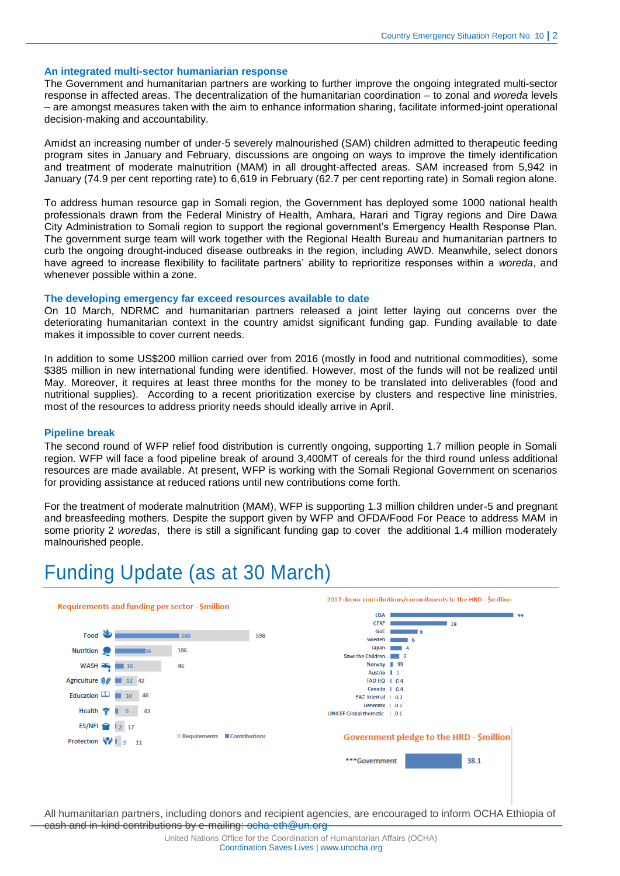#### **An integrated multi-sector humaniarian response**

The Government and humanitarian partners are working to further improve the ongoing integrated multi-sector response in affected areas. The decentralization of the humanitarian coordination – to zonal and *woreda* levels – are amongst measures taken with the aim to enhance information sharing, facilitate informed-joint operational decision-making and accountability.

Amidst an increasing number of under-5 severely malnourished (SAM) children admitted to therapeutic feeding program sites in January and February, discussions are ongoing on ways to improve the timely identification and treatment of moderate malnutrition (MAM) in all drought-affected areas. SAM increased from 5,942 in January (74.9 per cent reporting rate) to 6,619 in February (62.7 per cent reporting rate) in Somali region alone.

To address human resource gap in Somali region, the Government has deployed some 1000 national health professionals drawn from the Federal Ministry of Health, Amhara, Harari and Tigray regions and Dire Dawa City Administration to Somali region to support the regional government's Emergency Health Response Plan. The government surge team will work together with the Regional Health Bureau and humanitarian partners to curb the ongoing drought-induced disease outbreaks in the region, including AWD. Meanwhile, select donors have agreed to increase flexibility to facilitate partners' ability to reprioritize responses within a *woreda*, and whenever possible within a zone.

#### **The developing emergency far exceed resources available to date**

On 10 March, NDRMC and humanitarian partners released a joint letter laying out concerns over the deteriorating humanitarian context in the country amidst significant funding gap. Funding available to date makes it impossible to cover current needs.

In addition to some US\$200 million carried over from 2016 (mostly in food and nutritional commodities), some \$385 million in new international funding were identified. However, most of the funds will not be realized until May. Moreover, it requires at least three months for the money to be translated into deliverables (food and nutritional supplies). According to a recent prioritization exercise by clusters and respective line ministries, most of the resources to address priority needs should ideally arrive in April.

#### **Pipeline break**

The second round of WFP relief food distribution is currently ongoing, supporting 1.7 million people in Somali region. WFP will face a food pipeline break of around 3,400MT of cereals for the third round unless additional resources are made available. At present, WFP is working with the Somali Regional Government on scenarios for providing assistance at reduced rations until new contributions come forth.

For the treatment of moderate malnutrition (MAM), WFP is supporting 1.3 million children under-5 and pregnant and breasfeeding mothers. Despite the support given by WFP and OFDA/Food For Peace to address MAM in some priority 2 *woredas*, there is still a significant funding gap to cover the additional 1.4 million moderately malnourished people.

## Funding Update (as at 30 March)

|                                   | Requirements and funding per sector - \$million |                               |     | 2017 donor contributions/commitments to the HRD - \$million |  |
|-----------------------------------|-------------------------------------------------|-------------------------------|-----|-------------------------------------------------------------|--|
|                                   |                                                 |                               |     | <b>USA</b><br>99<br><b>CERF</b><br>19                       |  |
| Food                              |                                                 | 280                           | 598 | GoE<br>و ا                                                  |  |
|                                   |                                                 |                               |     | Sweden<br>6<br>Japan<br>A                                   |  |
| <b>Nutrition</b>                  | <b>IS6</b>                                      | 106                           |     | Save the Children                                           |  |
| WASH <b>EXAMPLE</b>               | 16                                              | 86                            |     | Norway 99                                                   |  |
|                                   |                                                 |                               |     | Austria   1                                                 |  |
| Agriculture <b>B</b> <sup>*</sup> | 12 42                                           |                               |     | FAO HQ   0.4                                                |  |
| Education $\Box$                  | 10 46                                           |                               |     | Canada   0.4<br>FAO internal   0.2                          |  |
|                                   |                                                 |                               |     | Denmark   0.1                                               |  |
| Health <b>专</b>                   | 43                                              |                               |     | <b>UNICEF Global thematic</b><br>$\vert$ 0.1                |  |
|                                   | ES/NFI 2 17                                     |                               |     |                                                             |  |
|                                   | Protection \/   3 11                            | Contributions<br>Requirements |     | Government pledge to the HRD - \$million                    |  |
|                                   |                                                 |                               |     | 38.1<br>***Government                                       |  |
|                                   |                                                 |                               |     |                                                             |  |
|                                   |                                                 |                               |     |                                                             |  |
|                                   |                                                 |                               |     |                                                             |  |

All humanitarian partners, including donors and recipient agencies, are encouraged to inform OCHA Ethiopia of cash and in-kind contributions by e-mailing: [ocha-eth@un.org](mailto:ocha-eth@un.org)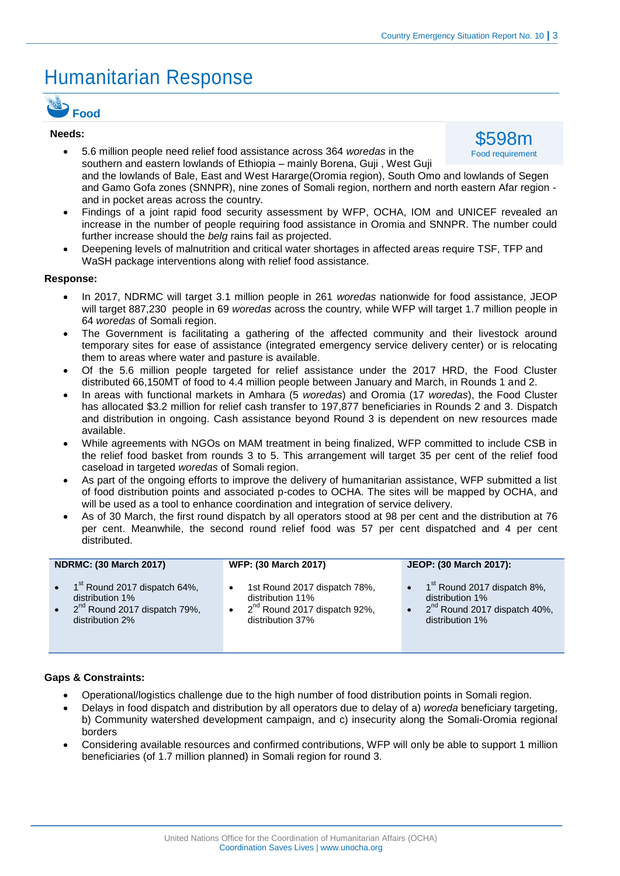# Humanitarian Response



#### **Needs:**

- 5.6 million people need relief food assistance across 364 *woredas* in the southern and eastern lowlands of Ethiopia – mainly Borena, Guji , West Guji and the lowlands of Bale, East and West Hararge(Oromia region), South Omo and lowlands of Segen and Gamo Gofa zones (SNNPR), nine zones of Somali region, northern and north eastern Afar region and in pocket areas across the country. \$598m Food requirement
- Findings of a joint rapid food security assessment by WFP, OCHA, IOM and UNICEF revealed an increase in the number of people requiring food assistance in Oromia and SNNPR. The number could further increase should the *belg* rains fail as projected.
- Deepening levels of malnutrition and critical water shortages in affected areas require TSF, TFP and WaSH package interventions along with relief food assistance.

#### **Response:**

- In 2017, NDRMC will target 3.1 million people in 261 *woredas* nationwide for food assistance, JEOP will target 887,230 people in 69 *woredas* across the country*,* while WFP will target 1.7 million people in 64 *woredas* of Somali region.
- The Government is facilitating a gathering of the affected community and their livestock around temporary sites for ease of assistance (integrated emergency service delivery center) or is relocating them to areas where water and pasture is available.
- Of the 5.6 million people targeted for relief assistance under the 2017 HRD, the Food Cluster distributed 66,150MT of food to 4.4 million people between January and March, in Rounds 1 and 2.
- In areas with functional markets in Amhara (5 *woredas*) and Oromia (17 *woredas*), the Food Cluster has allocated \$3.2 million for relief cash transfer to 197,877 beneficiaries in Rounds 2 and 3. Dispatch and distribution in ongoing. Cash assistance beyond Round 3 is dependent on new resources made available.
- While agreements with NGOs on MAM treatment in being finalized, WFP committed to include CSB in the relief food basket from rounds 3 to 5. This arrangement will target 35 per cent of the relief food caseload in targeted *woredas* of Somali region.
- As part of the ongoing efforts to improve the delivery of humanitarian assistance, WFP submitted a list of food distribution points and associated p-codes to OCHA. The sites will be mapped by OCHA, and will be used as a tool to enhance coordination and integration of service delivery.
- As of 30 March, the first round dispatch by all operators stood at 98 per cent and the distribution at 76 per cent. Meanwhile, the second round relief food was 57 per cent dispatched and 4 per cent distributed.

| <b>NDRMC: (30 March 2017)</b>                                                                                                                     | WFP: (30 March 2017)                                                                                             | JEOP: (30 March 2017):                                                                                                                        |  |
|---------------------------------------------------------------------------------------------------------------------------------------------------|------------------------------------------------------------------------------------------------------------------|-----------------------------------------------------------------------------------------------------------------------------------------------|--|
| $\bullet$ 1 <sup>st</sup> Round 2017 dispatch 64%,<br>distribution 1%<br>2 <sup>nd</sup> Round 2017 dispatch 79%,<br>$\bullet$<br>distribution 2% | 1st Round 2017 dispatch 78%,<br>distribution 11%<br>2 <sup>nd</sup> Round 2017 dispatch 92%,<br>distribution 37% | $\bullet$ 1 <sup>st</sup> Round 2017 dispatch 8%,<br>distribution 1%<br>$\bullet$ 2 <sup>nd</sup> Round 2017 dispatch 40%,<br>distribution 1% |  |

#### **Gaps & Constraints:**

- Operational/logistics challenge due to the high number of food distribution points in Somali region.
- Delays in food dispatch and distribution by all operators due to delay of a) *woreda* beneficiary targeting, b) Community watershed development campaign, and c) insecurity along the Somali-Oromia regional borders
- Considering available resources and confirmed contributions, WFP will only be able to support 1 million beneficiaries (of 1.7 million planned) in Somali region for round 3.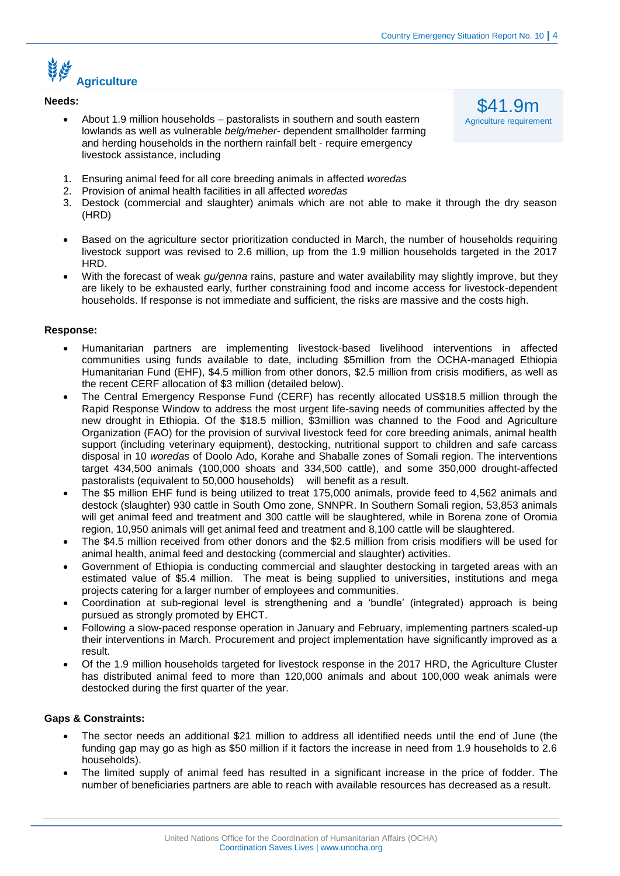### <u>محلي الخطير</u> **Agriculture**

#### **Needs:**

 About 1.9 million households – pastoralists in southern and south eastern lowlands as well as vulnerable *belg/meher*- dependent smallholder farming and herding households in the northern rainfall belt - require emergency livestock assistance, including

\$41.9m Agriculture requirement

- 1. Ensuring animal feed for all core breeding animals in affected *woredas*
- 2. Provision of animal health facilities in all affected *woredas*
- 3. Destock (commercial and slaughter) animals which are not able to make it through the dry season (HRD)
- Based on the agriculture sector prioritization conducted in March, the number of households requiring livestock support was revised to 2.6 million, up from the 1.9 million households targeted in the 2017 HRD.
- With the forecast of weak *gu/genna* rains, pasture and water availability may slightly improve, but they are likely to be exhausted early, further constraining food and income access for livestock-dependent households. If response is not immediate and sufficient, the risks are massive and the costs high.

#### **Response:**

- Humanitarian partners are implementing livestock-based livelihood interventions in affected communities using funds available to date, including \$5million from the OCHA-managed Ethiopia Humanitarian Fund (EHF), \$4.5 million from other donors, \$2.5 million from crisis modifiers, as well as the recent CERF allocation of \$3 million (detailed below).
- The Central Emergency Response Fund (CERF) has recently allocated US\$18.5 million through the Rapid Response Window to address the most urgent life-saving needs of communities affected by the new drought in Ethiopia. Of the \$18.5 million, \$3million was channed to the Food and Agriculture Organization (FAO) for the provision of survival livestock feed for core breeding animals, animal health support (including veterinary equipment), destocking, nutritional support to children and safe carcass disposal in 10 *woredas* of Doolo Ado, Korahe and Shaballe zones of Somali region. The interventions target 434,500 animals (100,000 shoats and 334,500 cattle), and some 350,000 drought-affected pastoralists (equivalent to 50,000 households) will benefit as a result.
- The \$5 million EHF fund is being utilized to treat 175,000 animals, provide feed to 4,562 animals and destock (slaughter) 930 cattle in South Omo zone, SNNPR. In Southern Somali region, 53,853 animals will get animal feed and treatment and 300 cattle will be slaughtered, while in Borena zone of Oromia region, 10,950 animals will get animal feed and treatment and 8,100 cattle will be slaughtered.
- The \$4.5 million received from other donors and the \$2.5 million from crisis modifiers will be used for animal health, animal feed and destocking (commercial and slaughter) activities.
- Government of Ethiopia is conducting commercial and slaughter destocking in targeted areas with an estimated value of \$5.4 million. The meat is being supplied to universities, institutions and mega projects catering for a larger number of employees and communities.
- Coordination at sub-regional level is strengthening and a 'bundle' (integrated) approach is being pursued as strongly promoted by EHCT.
- Following a slow-paced response operation in January and February, implementing partners scaled-up their interventions in March. Procurement and project implementation have significantly improved as a result.
- Of the 1.9 million households targeted for livestock response in the 2017 HRD, the Agriculture Cluster has distributed animal feed to more than 120,000 animals and about 100,000 weak animals were destocked during the first quarter of the year.

#### **Gaps & Constraints:**

- The sector needs an additional \$21 million to address all identified needs until the end of June (the funding gap may go as high as \$50 million if it factors the increase in need from 1.9 households to 2.6 households).
- The limited supply of animal feed has resulted in a significant increase in the price of fodder. The number of beneficiaries partners are able to reach with available resources has decreased as a result.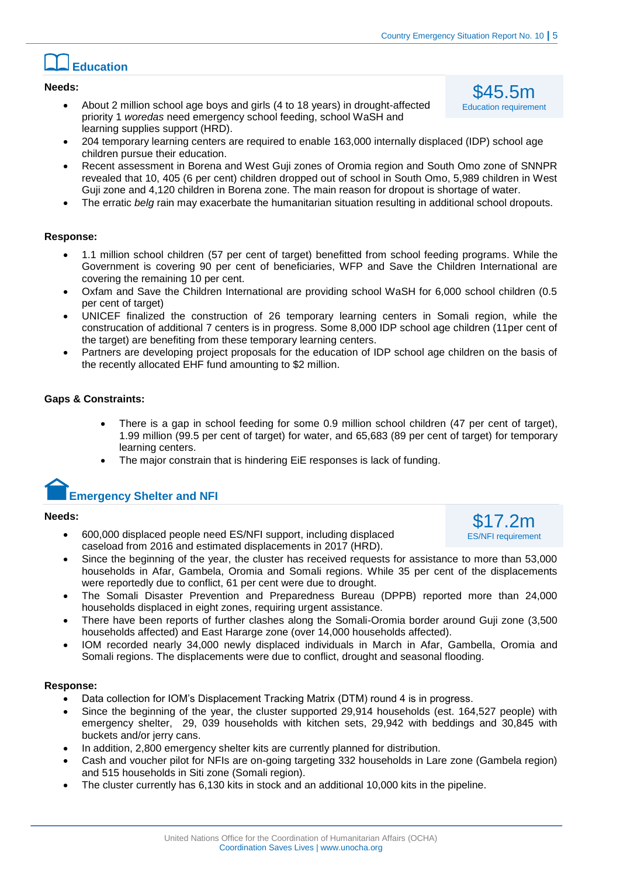### **Education**

#### **Needs:**

- About 2 million school age boys and girls (4 to 18 years) in drought-affected priority 1 *woredas* need emergency school feeding, school WaSH and learning supplies support (HRD).
- 204 temporary learning centers are required to enable 163,000 internally displaced (IDP) school age children pursue their education.
- Recent assessment in Borena and West Guji zones of Oromia region and South Omo zone of SNNPR revealed that 10, 405 (6 per cent) children dropped out of school in South Omo, 5,989 children in West Guji zone and 4,120 children in Borena zone. The main reason for dropout is shortage of water.
- The erratic *belg* rain may exacerbate the humanitarian situation resulting in additional school dropouts.

#### **Response:**

- 1.1 million school children (57 per cent of target) benefitted from school feeding programs. While the Government is covering 90 per cent of beneficiaries, WFP and Save the Children International are covering the remaining 10 per cent.
- Oxfam and Save the Children International are providing school WaSH for 6,000 school children (0.5 per cent of target)
- UNICEF finalized the construction of 26 temporary learning centers in Somali region, while the construcation of additional 7 centers is in progress. Some 8,000 IDP school age children (11per cent of the target) are benefiting from these temporary learning centers.
- Partners are developing project proposals for the education of IDP school age children on the basis of the recently allocated EHF fund amounting to \$2 million.

#### **Gaps & Constraints:**

- There is a gap in school feeding for some 0.9 million school children (47 per cent of target), 1.99 million (99.5 per cent of target) for water, and 65,683 (89 per cent of target) for temporary learning centers.
- The major constrain that is hindering EiE responses is lack of funding.

### **Emergency Shelter and NFI**

#### **Needs:**

- 600,000 displaced people need ES/NFI support, including displaced caseload from 2016 and estimated displacements in 2017 (HRD).
- Since the beginning of the year, the cluster has received requests for assistance to more than 53,000 households in Afar, Gambela, Oromia and Somali regions. While 35 per cent of the displacements were reportedly due to conflict, 61 per cent were due to drought.
- The Somali Disaster Prevention and Preparedness Bureau (DPPB) reported more than 24,000 households displaced in eight zones, requiring urgent assistance.
- There have been reports of further clashes along the Somali-Oromia border around Guji zone (3,500 households affected) and East Hararge zone (over 14,000 households affected).
- IOM recorded nearly 34,000 newly displaced individuals in March in Afar, Gambella, Oromia and Somali regions. The displacements were due to conflict, drought and seasonal flooding.

#### **Response:**

- Data collection for IOM's Displacement Tracking Matrix (DTM) round 4 is in progress.
- Since the beginning of the year, the cluster supported 29,914 households (est. 164,527 people) with emergency shelter, 29, 039 households with kitchen sets, 29,942 with beddings and 30,845 with buckets and/or jerry cans.
- In addition, 2,800 emergency shelter kits are currently planned for distribution.
- Cash and voucher pilot for NFIs are on-going targeting 332 households in Lare zone (Gambela region) and 515 households in Siti zone (Somali region).
- The cluster currently has 6,130 kits in stock and an additional 10,000 kits in the pipeline.

\$17.2m ES/NFI requirement

\$45.5m Education requirement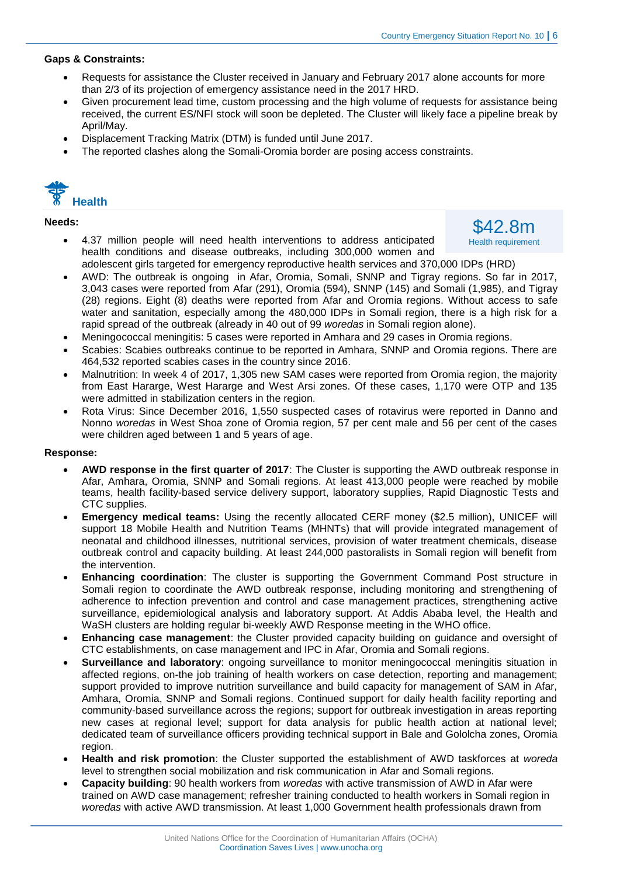#### **Gaps & Constraints:**

- Requests for assistance the Cluster received in January and February 2017 alone accounts for more than 2/3 of its projection of emergency assistance need in the 2017 HRD.
- Given procurement lead time, custom processing and the high volume of requests for assistance being received, the current ES/NFI stock will soon be depleted. The Cluster will likely face a pipeline break by April/May.
- Displacement Tracking Matrix (DTM) is funded until June 2017.
- The reported clashes along the Somali-Oromia border are posing access constraints.



#### **Needs:**

 4.37 million people will need health interventions to address anticipated health conditions and disease outbreaks, including 300,000 women and

\$42.8m Health requirement

- adolescent girls targeted for emergency reproductive health services and 370,000 IDPs (HRD)
- AWD: The outbreak is ongoing in Afar, Oromia, Somali, SNNP and Tigray regions. So far in 2017, 3,043 cases were reported from Afar (291), Oromia (594), SNNP (145) and Somali (1,985), and Tigray (28) regions. Eight (8) deaths were reported from Afar and Oromia regions. Without access to safe water and sanitation, especially among the 480,000 IDPs in Somali region, there is a high risk for a rapid spread of the outbreak (already in 40 out of 99 *woredas* in Somali region alone).
- Meningococcal meningitis: 5 cases were reported in Amhara and 29 cases in Oromia regions.
- Scabies: Scabies outbreaks continue to be reported in Amhara, SNNP and Oromia regions. There are 464,532 reported scabies cases in the country since 2016.
- Malnutrition: In week 4 of 2017, 1,305 new SAM cases were reported from Oromia region, the majority from East Hararge, West Hararge and West Arsi zones. Of these cases, 1,170 were OTP and 135 were admitted in stabilization centers in the region.
- Rota Virus: Since December 2016, 1,550 suspected cases of rotavirus were reported in Danno and Nonno *woredas* in West Shoa zone of Oromia region, 57 per cent male and 56 per cent of the cases were children aged between 1 and 5 years of age.

#### **Response:**

- **AWD response in the first quarter of 2017**: The Cluster is supporting the AWD outbreak response in Afar, Amhara, Oromia, SNNP and Somali regions. At least 413,000 people were reached by mobile teams, health facility-based service delivery support, laboratory supplies, Rapid Diagnostic Tests and CTC supplies.
- **Emergency medical teams:** Using the recently allocated CERF money (\$2.5 million), UNICEF will support 18 Mobile Health and Nutrition Teams (MHNTs) that will provide integrated management of neonatal and childhood illnesses, nutritional services, provision of water treatment chemicals, disease outbreak control and capacity building. At least 244,000 pastoralists in Somali region will benefit from the intervention.
- **Enhancing coordination**: The cluster is supporting the Government Command Post structure in Somali region to coordinate the AWD outbreak response, including monitoring and strengthening of adherence to infection prevention and control and case management practices, strengthening active surveillance, epidemiological analysis and laboratory support. At Addis Ababa level, the Health and WaSH clusters are holding regular bi-weekly AWD Response meeting in the WHO office.
- **Enhancing case management**: the Cluster provided capacity building on guidance and oversight of CTC establishments, on case management and IPC in Afar, Oromia and Somali regions.
- **Surveillance and laboratory**: ongoing surveillance to monitor meningococcal meningitis situation in affected regions, on-the job training of health workers on case detection, reporting and management; support provided to improve nutrition surveillance and build capacity for management of SAM in Afar, Amhara, Oromia, SNNP and Somali regions. Continued support for daily health facility reporting and community-based surveillance across the regions; support for outbreak investigation in areas reporting new cases at regional level; support for data analysis for public health action at national level; dedicated team of surveillance officers providing technical support in Bale and Gololcha zones, Oromia region.
- **Health and risk promotion**: the Cluster supported the establishment of AWD taskforces at *woreda*  level to strengthen social mobilization and risk communication in Afar and Somali regions.
- **Capacity building**: 90 health workers from *woredas* with active transmission of AWD in Afar were trained on AWD case management; refresher training conducted to health workers in Somali region in *woredas* with active AWD transmission. At least 1,000 Government health professionals drawn from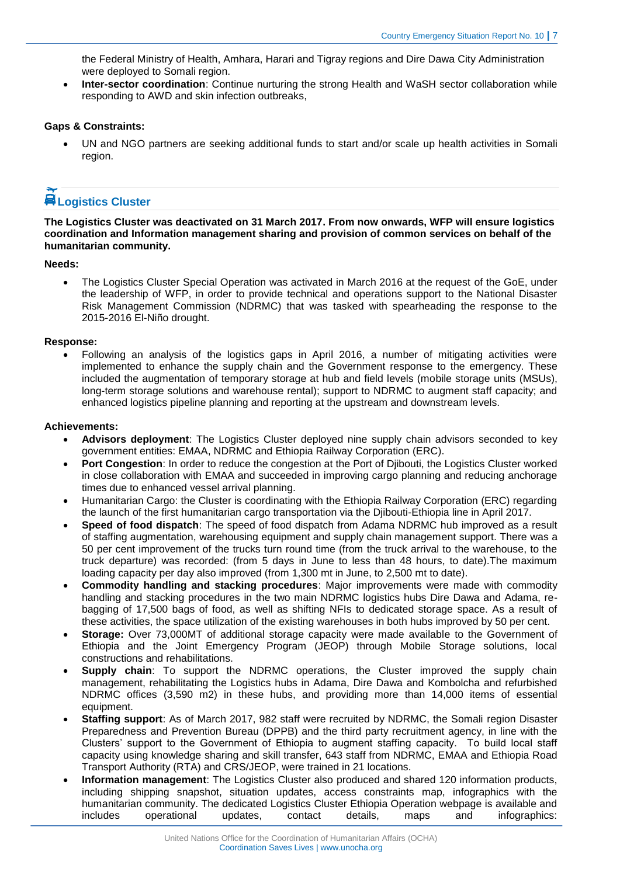the Federal Ministry of Health, Amhara, Harari and Tigray regions and Dire Dawa City Administration were deployed to Somali region.

 **Inter-sector coordination**: Continue nurturing the strong Health and WaSH sector collaboration while responding to AWD and skin infection outbreaks,

#### **Gaps & Constraints:**

 UN and NGO partners are seeking additional funds to start and/or scale up health activities in Somali region.

### **Logistics Cluster**

**The Logistics Cluster was deactivated on 31 March 2017. From now onwards, WFP will ensure logistics coordination and Information management sharing and provision of common services on behalf of the humanitarian community.**

#### **Needs:**

 The Logistics Cluster Special Operation was activated in March 2016 at the request of the GoE, under the leadership of WFP, in order to provide technical and operations support to the National Disaster Risk Management Commission (NDRMC) that was tasked with spearheading the response to the 2015-2016 El-Niño drought.

#### **Response:**

 Following an analysis of the logistics gaps in April 2016, a number of mitigating activities were implemented to enhance the supply chain and the Government response to the emergency. These included the augmentation of temporary storage at hub and field levels (mobile storage units (MSUs), long-term storage solutions and warehouse rental); support to NDRMC to augment staff capacity; and enhanced logistics pipeline planning and reporting at the upstream and downstream levels.

#### **Achievements:**

- **Advisors deployment**: The Logistics Cluster deployed nine supply chain advisors seconded to key government entities: EMAA, NDRMC and Ethiopia Railway Corporation (ERC).
- **Port Congestion**: In order to reduce the congestion at the Port of Djibouti, the Logistics Cluster worked in close collaboration with EMAA and succeeded in improving cargo planning and reducing anchorage times due to enhanced vessel arrival planning.
- Humanitarian Cargo: the Cluster is coordinating with the Ethiopia Railway Corporation (ERC) regarding the launch of the first humanitarian cargo transportation via the Djibouti-Ethiopia line in April 2017.
- **Speed of food dispatch**: The speed of food dispatch from Adama NDRMC hub improved as a result of staffing augmentation, warehousing equipment and supply chain management support. There was a 50 per cent improvement of the trucks turn round time (from the truck arrival to the warehouse, to the truck departure) was recorded: (from 5 days in June to less than 48 hours, to date).The maximum loading capacity per day also improved (from 1,300 mt in June, to 2,500 mt to date).
- **Commodity handling and stacking procedures**: Major improvements were made with commodity handling and stacking procedures in the two main NDRMC logistics hubs Dire Dawa and Adama, rebagging of 17,500 bags of food, as well as shifting NFIs to dedicated storage space. As a result of these activities, the space utilization of the existing warehouses in both hubs improved by 50 per cent.
- **Storage:** Over 73,000MT of additional storage capacity were made available to the Government of Ethiopia and the Joint Emergency Program (JEOP) through Mobile Storage solutions, local constructions and rehabilitations.
- **Supply chain:** To support the NDRMC operations, the Cluster improved the supply chain management, rehabilitating the Logistics hubs in Adama, Dire Dawa and Kombolcha and refurbished NDRMC offices (3,590 m2) in these hubs, and providing more than 14,000 items of essential equipment.
- **Staffing support**: As of March 2017, 982 staff were recruited by NDRMC, the Somali region Disaster Preparedness and Prevention Bureau (DPPB) and the third party recruitment agency, in line with the Clusters' support to the Government of Ethiopia to augment staffing capacity. To build local staff capacity using knowledge sharing and skill transfer, 643 staff from NDRMC, EMAA and Ethiopia Road Transport Authority (RTA) and CRS/JEOP, were trained in 21 locations.
- **Information management**: The Logistics Cluster also produced and shared 120 information products, including shipping snapshot, situation updates, access constraints map, infographics with the humanitarian community. The dedicated Logistics Cluster Ethiopia Operation webpage is available and includes operational updates, contact details, maps and infographics: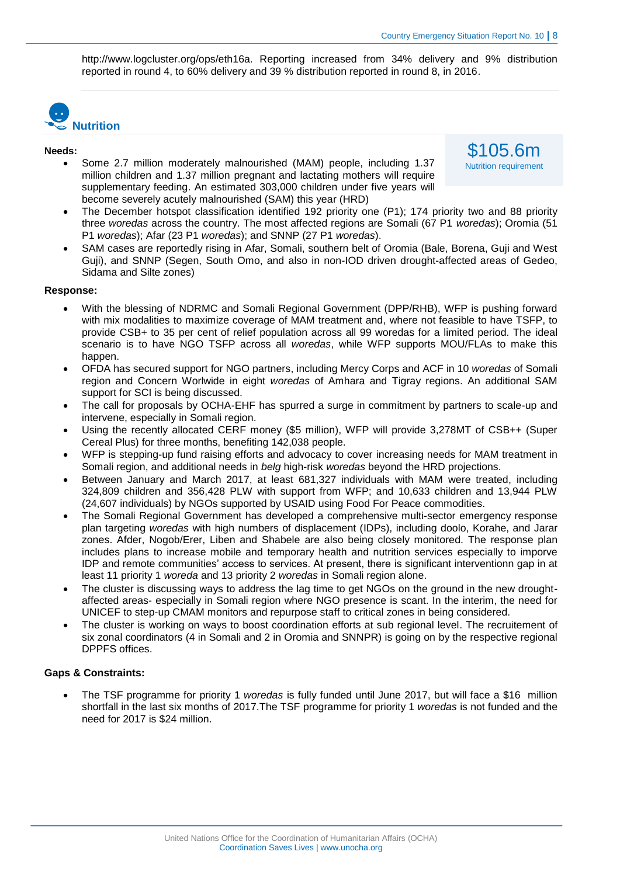\$105.6m Nutrition requirement

http://www.logcluster.org/ops/eth16a. Reporting increased from 34% delivery and 9% distribution reported in round 4, to 60% delivery and 39 % distribution reported in round 8, in 2016.



#### **Needs:**

- Some 2.7 million moderately malnourished (MAM) people, including 1.37 million children and 1.37 million pregnant and lactating mothers will require supplementary feeding. An estimated 303,000 children under five years will become severely acutely malnourished (SAM) this year (HRD)
- The December hotspot classification identified 192 priority one (P1); 174 priority two and 88 priority three *woredas* across the country. The most affected regions are Somali (67 P1 *woredas*); Oromia (51 P1 *woredas*); Afar (23 P1 *woredas*); and SNNP (27 P1 *woredas*).
- SAM cases are reportedly rising in Afar, Somali, southern belt of Oromia (Bale, Borena, Guji and West Guji), and SNNP (Segen, South Omo, and also in non-IOD driven drought-affected areas of Gedeo, Sidama and Silte zones)

#### **Response:**

- With the blessing of NDRMC and Somali Regional Government (DPP/RHB), WFP is pushing forward with mix modalities to maximize coverage of MAM treatment and, where not feasible to have TSFP, to provide CSB+ to 35 per cent of relief population across all 99 woredas for a limited period. The ideal scenario is to have NGO TSFP across all *woredas*, while WFP supports MOU/FLAs to make this happen.
- OFDA has secured support for NGO partners, including Mercy Corps and ACF in 10 *woredas* of Somali region and Concern Worlwide in eight *woredas* of Amhara and Tigray regions. An additional SAM support for SCI is being discussed.
- The call for proposals by OCHA-EHF has spurred a surge in commitment by partners to scale-up and intervene, especially in Somali region.
- Using the recently allocated CERF money (\$5 million), WFP will provide 3,278MT of CSB++ (Super Cereal Plus) for three months, benefiting 142,038 people.
- WFP is stepping-up fund raising efforts and advocacy to cover increasing needs for MAM treatment in Somali region, and additional needs in *belg* high-risk *woredas* beyond the HRD projections.
- Between January and March 2017, at least 681,327 individuals with MAM were treated, including 324,809 children and 356,428 PLW with support from WFP; and 10,633 children and 13,944 PLW (24,607 individuals) by NGOs supported by USAID using Food For Peace commodities.
- The Somali Regional Government has developed a comprehensive multi-sector emergency response plan targeting *woredas* with high numbers of displacement (IDPs), including doolo, Korahe, and Jarar zones. Afder, Nogob/Erer, Liben and Shabele are also being closely monitored. The response plan includes plans to increase mobile and temporary health and nutrition services especially to imporve IDP and remote communities' access to services. At present, there is significant interventionn gap in at least 11 priority 1 *woreda* and 13 priority 2 *woredas* in Somali region alone.
- The cluster is discussing ways to address the lag time to get NGOs on the ground in the new droughtaffected areas- especially in Somali region where NGO presence is scant. In the interim, the need for UNICEF to step-up CMAM monitors and repurpose staff to critical zones in being considered.
- The cluster is working on ways to boost coordination efforts at sub regional level. The recruitement of six zonal coordinators (4 in Somali and 2 in Oromia and SNNPR) is going on by the respective regional DPPFS offices.

#### **Gaps & Constraints:**

 The TSF programme for priority 1 *woredas* is fully funded until June 2017, but will face a \$16 million shortfall in the last six months of 2017.The TSF programme for priority 1 *woredas* is not funded and the need for 2017 is \$24 million.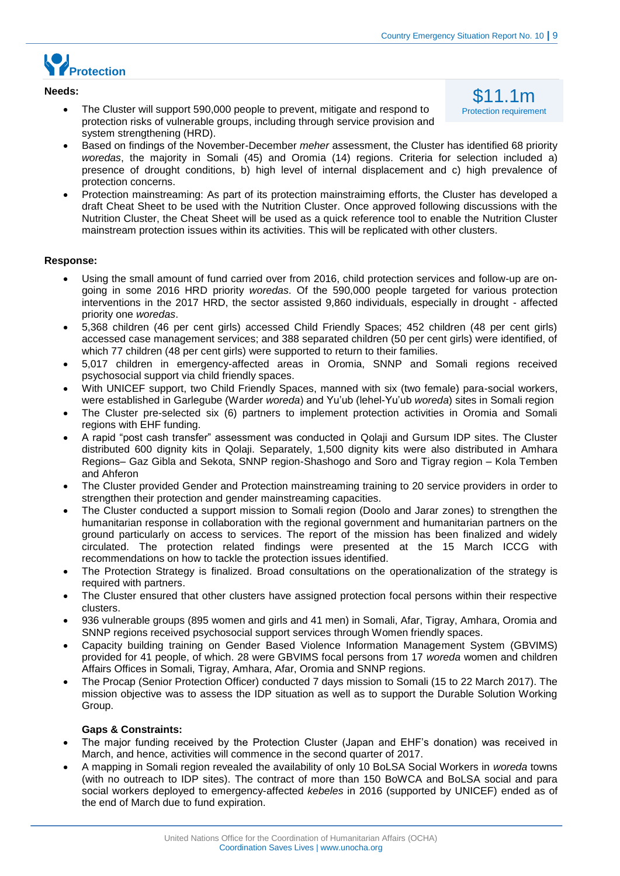\$11.1m Protection requirement



#### **Needs:**

- The Cluster will support 590,000 people to prevent, mitigate and respond to protection risks of vulnerable groups, including through service provision and system strengthening (HRD).
- Based on findings of the November-December *meher* assessment, the Cluster has identified 68 priority *woredas*, the majority in Somali (45) and Oromia (14) regions. Criteria for selection included a) presence of drought conditions, b) high level of internal displacement and c) high prevalence of protection concerns.
- Protection mainstreaming: As part of its protection mainstraiming efforts, the Cluster has developed a draft Cheat Sheet to be used with the Nutrition Cluster. Once approved following discussions with the Nutrition Cluster, the Cheat Sheet will be used as a quick reference tool to enable the Nutrition Cluster mainstream protection issues within its activities. This will be replicated with other clusters.

#### **Response:**

- Using the small amount of fund carried over from 2016, child protection services and follow-up are ongoing in some 2016 HRD priority *woredas*. Of the 590,000 people targeted for various protection interventions in the 2017 HRD, the sector assisted 9,860 individuals, especially in drought - affected priority one *woredas*.
- 5,368 children (46 per cent girls) accessed Child Friendly Spaces; 452 children (48 per cent girls) accessed case management services; and 388 separated children (50 per cent girls) were identified, of which 77 children (48 per cent girls) were supported to return to their families.
- 5,017 children in emergency-affected areas in Oromia, SNNP and Somali regions received psychosocial support via child friendly spaces.
- With UNICEF support, two Child Friendly Spaces, manned with six (two female) para-social workers, were established in Garlegube (Warder *woreda*) and Yu'ub (lehel-Yu'ub *woreda*) sites in Somali region
- The Cluster pre-selected six (6) partners to implement protection activities in Oromia and Somali regions with EHF funding.
- A rapid "post cash transfer" assessment was conducted in Qolaji and Gursum IDP sites. The Cluster distributed 600 dignity kits in Qolaji. Separately, 1,500 dignity kits were also distributed in Amhara Regions– Gaz Gibla and Sekota, SNNP region-Shashogo and Soro and Tigray region – Kola Temben and Ahferon
- The Cluster provided Gender and Protection mainstreaming training to 20 service providers in order to strengthen their protection and gender mainstreaming capacities.
- The Cluster conducted a support mission to Somali region (Doolo and Jarar zones) to strengthen the humanitarian response in collaboration with the regional government and humanitarian partners on the ground particularly on access to services. The report of the mission has been finalized and widely circulated. The protection related findings were presented at the 15 March ICCG with recommendations on how to tackle the protection issues identified.
- The Protection Strategy is finalized. Broad consultations on the operationalization of the strategy is required with partners.
- The Cluster ensured that other clusters have assigned protection focal persons within their respective clusters.
- 936 vulnerable groups (895 women and girls and 41 men) in Somali, Afar, Tigray, Amhara, Oromia and SNNP regions received psychosocial support services through Women friendly spaces.
- Capacity building training on Gender Based Violence Information Management System (GBVIMS) provided for 41 people, of which. 28 were GBVIMS focal persons from 17 *woreda* women and children Affairs Offices in Somali, Tigray, Amhara, Afar, Oromia and SNNP regions.
- The Procap (Senior Protection Officer) conducted 7 days mission to Somali (15 to 22 March 2017). The mission objective was to assess the IDP situation as well as to support the Durable Solution Working Group.

#### **Gaps & Constraints:**

- The major funding received by the Protection Cluster (Japan and EHF's donation) was received in March, and hence, activities will commence in the second quarter of 2017.
- A mapping in Somali region revealed the availability of only 10 BoLSA Social Workers in *woreda* towns (with no outreach to IDP sites). The contract of more than 150 BoWCA and BoLSA social and para social workers deployed to emergency-affected *kebeles* in 2016 (supported by UNICEF) ended as of the end of March due to fund expiration.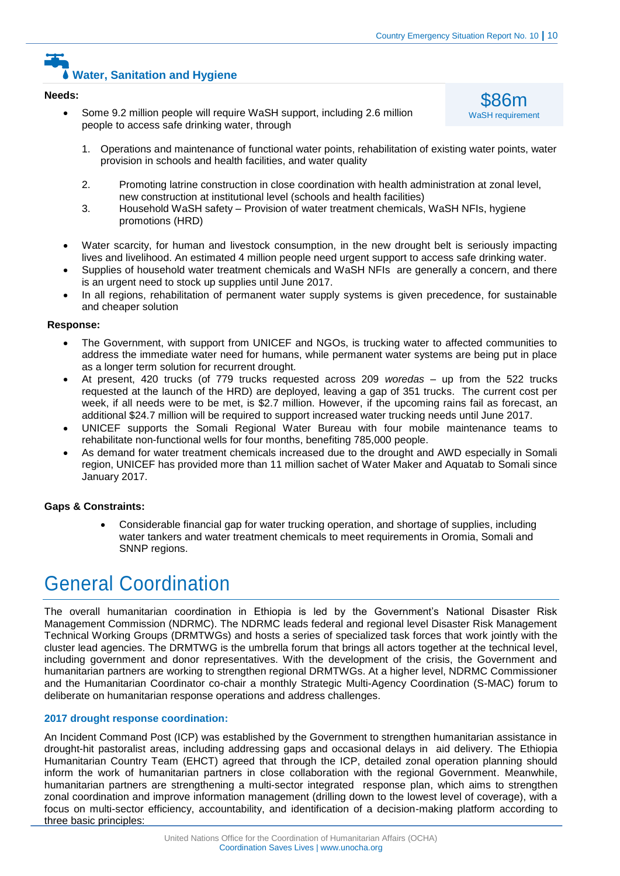## **Water, Sanitation and Hygiene**

#### **Needs:**

 Some 9.2 million people will require WaSH support, including 2.6 million people to access safe drinking water, through



- 1. Operations and maintenance of functional water points, rehabilitation of existing water points, water provision in schools and health facilities, and water quality
- 2. Promoting latrine construction in close coordination with health administration at zonal level, new construction at institutional level (schools and health facilities)
- 3. Household WaSH safety Provision of water treatment chemicals, WaSH NFIs, hygiene promotions (HRD)
- Water scarcity, for human and livestock consumption, in the new drought belt is seriously impacting lives and livelihood. An estimated 4 million people need urgent support to access safe drinking water.
- Supplies of household water treatment chemicals and WaSH NFIs are generally a concern, and there is an urgent need to stock up supplies until June 2017.
- In all regions, rehabilitation of permanent water supply systems is given precedence, for sustainable and cheaper solution

#### **Response:**

- The Government, with support from UNICEF and NGOs, is trucking water to affected communities to address the immediate water need for humans, while permanent water systems are being put in place as a longer term solution for recurrent drought.
- At present, 420 trucks (of 779 trucks requested across 209 *woredas* up from the 522 trucks requested at the launch of the HRD) are deployed, leaving a gap of 351 trucks. The current cost per week, if all needs were to be met, is \$2.7 million. However, if the upcoming rains fail as forecast, an additional \$24.7 million will be required to support increased water trucking needs until June 2017.
- UNICEF supports the Somali Regional Water Bureau with four mobile maintenance teams to rehabilitate non-functional wells for four months, benefiting 785,000 people.
- As demand for water treatment chemicals increased due to the drought and AWD especially in Somali region, UNICEF has provided more than 11 million sachet of Water Maker and Aquatab to Somali since January 2017.

#### **Gaps & Constraints:**

 Considerable financial gap for water trucking operation, and shortage of supplies, including water tankers and water treatment chemicals to meet requirements in Oromia, Somali and SNNP regions.

## General Coordination

The overall humanitarian coordination in Ethiopia is led by the Government's National Disaster Risk Management Commission (NDRMC). The NDRMC leads federal and regional level Disaster Risk Management Technical Working Groups (DRMTWGs) and hosts a series of specialized task forces that work jointly with the cluster lead agencies. The DRMTWG is the umbrella forum that brings all actors together at the technical level, including government and donor representatives. With the development of the crisis, the Government and humanitarian partners are working to strengthen regional DRMTWGs. At a higher level, NDRMC Commissioner and the Humanitarian Coordinator co-chair a monthly Strategic Multi-Agency Coordination (S-MAC) forum to deliberate on humanitarian response operations and address challenges.

#### **2017 drought response coordination:**

An Incident Command Post (ICP) was established by the Government to strengthen humanitarian assistance in drought-hit pastoralist areas, including addressing gaps and occasional delays in aid delivery. The Ethiopia Humanitarian Country Team (EHCT) agreed that through the ICP, detailed zonal operation planning should inform the work of humanitarian partners in close collaboration with the regional Government. Meanwhile, humanitarian partners are strengthening a multi-sector integrated response plan, which aims to strengthen zonal coordination and improve information management (drilling down to the lowest level of coverage), with a focus on multi-sector efficiency, accountability, and identification of a decision-making platform according to three basic principles: